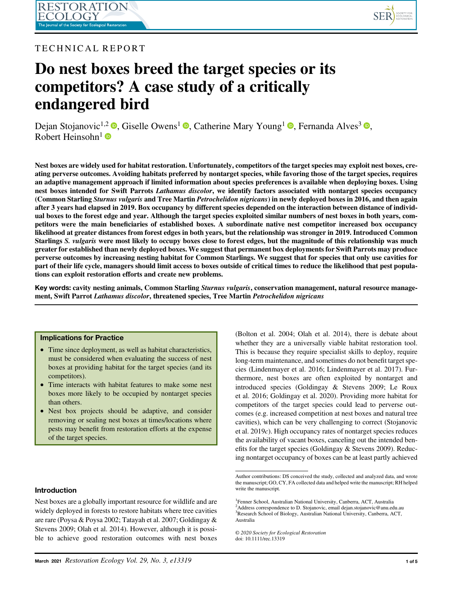

# TECHNICAL REPORT

# Do nest boxes breed the target species or its competitors? A case study of a critically endangered bird

Dejan Stojanovic<sup>1[,](https://orcid.org/0000-0002-1176-3244)2</sup> **0**, Giselle Owens<sup>1</sup> **0**, Catherine Mary Young<sup>1</sup> **0**, Fernanda Alves<sup>3</sup> **0**, Robert Heinsohn $<sup>1</sup>$ </sup>

Nest boxes are widely used for habitat restoration. Unfortunately, competitors of the target species may exploit nest boxes, creating perverse outcomes. Avoiding habitats preferred by nontarget species, while favoring those of the target species, requires an adaptive management approach if limited information about species preferences is available when deploying boxes. Using nest boxes intended for Swift Parrots Lathamus discolor, we identify factors associated with nontarget species occupancy (Common Starling Sturnus vulgaris and Tree Martin Petrochelidon nigricans) in newly deployed boxes in 2016, and then again after 3 years had elapsed in 2019. Box occupancy by different species depended on the interaction between distance of individual boxes to the forest edge and year. Although the target species exploited similar numbers of nest boxes in both years, competitors were the main beneficiaries of established boxes. A subordinate native nest competitor increased box occupancy likelihood at greater distances from forest edges in both years, but the relationship was stronger in 2019. Introduced Common Starlings S. vulgaris were most likely to occupy boxes close to forest edges, but the magnitude of this relationship was much greater for established than newly deployed boxes. We suggest that permanent box deployments for Swift Parrots may produce perverse outcomes by increasing nesting habitat for Common Starlings. We suggest that for species that only use cavities for part of their life cycle, managers should limit access to boxes outside of critical times to reduce the likelihood that pest populations can exploit restoration efforts and create new problems.

Key words: cavity nesting animals, Common Starling *Sturnus vulgaris*, conservation management, natural resource management, Swift Parrot Lathamus discolor, threatened species, Tree Martin Petrochelidon nigricans

#### Implications for Practice

- Time since deployment, as well as habitat characteristics, must be considered when evaluating the success of nest boxes at providing habitat for the target species (and its competitors).
- Time interacts with habitat features to make some nest boxes more likely to be occupied by nontarget species than others.
- Nest box projects should be adaptive, and consider removing or sealing nest boxes at times/locations where pests may benefit from restoration efforts at the expense of the target species.

# Introduction

Nest boxes are a globally important resource for wildlife and are widely deployed in forests to restore habitats where tree cavities are rare (Poysa & Poysa 2002; Tatayah et al. 2007; Goldingay & Stevens 2009; Olah et al. 2014). However, although it is possible to achieve good restoration outcomes with nest boxes (Bolton et al. 2004; Olah et al. 2014), there is debate about whether they are a universally viable habitat restoration tool. This is because they require specialist skills to deploy, require long-term maintenance, and sometimes do not benefit target species (Lindenmayer et al. 2016; Lindenmayer et al. 2017). Furthermore, nest boxes are often exploited by nontarget and introduced species (Goldingay & Stevens 2009; Le Roux et al. 2016; Goldingay et al. 2020). Providing more habitat for competitors of the target species could lead to perverse outcomes (e.g. increased competition at nest boxes and natural tree cavities), which can be very challenging to correct (Stojanovic et al.  $2019c$ ). High occupancy rates of nontarget species reduces the availability of vacant boxes, canceling out the intended benefits for the target species (Goldingay & Stevens 2009). Reducing nontarget occupancy of boxes can be at least partly achieved

© 2020 Society for Ecological Restoration doi: 10.1111/rec.13319

Author contributions: DS conceived the study, collected and analyzed data, and wrote the manuscript; GO, CY, FA collected data and helped write the manuscript; RH helped write the manuscript.

<sup>1</sup> Fenner School, Australian National University, Canberra, ACT, Australia <sup>2</sup>Address correspondence to D. Stojanovic, email [dejan.stojanovic@anu.edu.au](mailto:dejan.stojanovic@anu.edu.au) 3 Research School of Biology, Australian National University, Canberra, ACT, Australia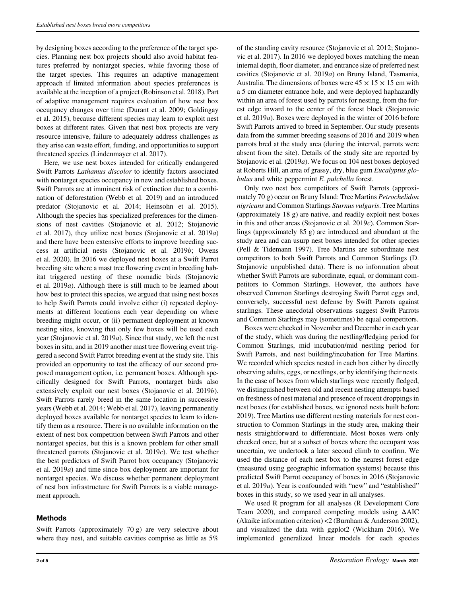by designing boxes according to the preference of the target species. Planning nest box projects should also avoid habitat features preferred by nontarget species, while favoring those of the target species. This requires an adaptive management approach if limited information about species preferences is available at the inception of a project (Robinson et al. 2018). Part of adaptive management requires evaluation of how nest box occupancy changes over time (Durant et al. 2009; Goldingay et al. 2015), because different species may learn to exploit nest boxes at different rates. Given that nest box projects are very resource intensive, failure to adequately address challenges as they arise can waste effort, funding, and opportunities to support threatened species (Lindenmayer et al. 2017).

Here, we use nest boxes intended for critically endangered Swift Parrots Lathamus discolor to identify factors associated with nontarget species occupancy in new and established boxes. Swift Parrots are at imminent risk of extinction due to a combination of deforestation (Webb et al. 2019) and an introduced predator (Stojanovic et al. 2014; Heinsohn et al. 2015). Although the species has specialized preferences for the dimensions of nest cavities (Stojanovic et al. 2012; Stojanovic et al. 2017), they utilize nest boxes (Stojanovic et al. 2019a) and there have been extensive efforts to improve breeding success at artificial nests (Stojanovic et al. 2019b; Owens et al. 2020). In 2016 we deployed nest boxes at a Swift Parrot breeding site where a mast tree flowering event in breeding habitat triggered nesting of these nomadic birds (Stojanovic et al. 2019a). Although there is still much to be learned about how best to protect this species, we argued that using nest boxes to help Swift Parrots could involve either (i) repeated deployments at different locations each year depending on where breeding might occur, or (ii) permanent deployment at known nesting sites, knowing that only few boxes will be used each year (Stojanovic et al. 2019a). Since that study, we left the nest boxes in situ, and in 2019 another mast tree flowering event triggered a second Swift Parrot breeding event at the study site. This provided an opportunity to test the efficacy of our second proposed management option, i.e. permanent boxes. Although specifically designed for Swift Parrots, nontarget birds also extensively exploit our nest boxes (Stojanovic et al. 2019b). Swift Parrots rarely breed in the same location in successive years (Webb et al. 2014; Webb et al. 2017), leaving permanently deployed boxes available for nontarget species to learn to identify them as a resource. There is no available information on the extent of nest box competition between Swift Parrots and other nontarget species, but this is a known problem for other small threatened parrots (Stojanovic et al.  $2019c$ ). We test whether the best predictors of Swift Parrot box occupancy (Stojanovic et al. 2019a) and time since box deployment are important for nontarget species. We discuss whether permanent deployment of nest box infrastructure for Swift Parrots is a viable management approach.

# Methods

Swift Parrots (approximately 70 g) are very selective about where they nest, and suitable cavities comprise as little as 5%

of the standing cavity resource (Stojanovic et al. 2012; Stojanovic et al. 2017). In 2016 we deployed boxes matching the mean internal depth, floor diameter, and entrance size of preferred nest cavities (Stojanovic et al. 2019a) on Bruny Island, Tasmania, Australia. The dimensions of boxes were  $45 \times 15 \times 15$  cm with a 5 cm diameter entrance hole, and were deployed haphazardly within an area of forest used by parrots for nesting, from the forest edge inward to the center of the forest block (Stojanovic et al. 2019a). Boxes were deployed in the winter of 2016 before Swift Parrots arrived to breed in September. Our study presents data from the summer breeding seasons of 2016 and 2019 when parrots bred at the study area (during the interval, parrots were absent from the site). Details of the study site are reported by Stojanovic et al. (2019a). We focus on 104 nest boxes deployed at Roberts Hill, an area of grassy, dry, blue gum Eucalyptus globulus and white peppermint E. pulchella forest.

Only two nest box competitors of Swift Parrots (approximately 70 g) occur on Bruny Island: Tree Martins Petrochelidon nigricans and Common Starlings Sturnus vulgaris. Tree Martins (approximately 18 g) are native, and readily exploit nest boxes in this and other areas (Stojanovic et al. 2019c). Common Starlings (approximately 85 g) are introduced and abundant at the study area and can usurp nest boxes intended for other species (Pell & Tidemann 1997). Tree Martins are subordinate nest competitors to both Swift Parrots and Common Starlings (D. Stojanovic unpublished data). There is no information about whether Swift Parrots are subordinate, equal, or dominant competitors to Common Starlings. However, the authors have observed Common Starlings destroying Swift Parrot eggs and, conversely, successful nest defense by Swift Parrots against starlings. These anecdotal observations suggest Swift Parrots and Common Starlings may (sometimes) be equal competitors.

Boxes were checked in November and December in each year of the study, which was during the nestling/fledging period for Common Starlings, mid incubation/mid nestling period for Swift Parrots, and nest building/incubation for Tree Martins. We recorded which species nested in each box either by directly observing adults, eggs, or nestlings, or by identifying their nests. In the case of boxes from which starlings were recently fledged, we distinguished between old and recent nesting attempts based on freshness of nest material and presence of recent droppings in nest boxes (for established boxes, we ignored nests built before 2019). Tree Martins use different nesting materials for nest construction to Common Starlings in the study area, making their nests straightforward to differentiate. Most boxes were only checked once, but at a subset of boxes where the occupant was uncertain, we undertook a later second climb to confirm. We used the distance of each nest box to the nearest forest edge (measured using geographic information systems) because this predicted Swift Parrot occupancy of boxes in 2016 (Stojanovic et al. 2019a). Year is confounded with "new" and "established" boxes in this study, so we used year in all analyses.

We used R program for all analyses (R Development Core Team 2020), and compared competing models using ΔAIC (Akaike information criterion) <2 (Burnham & Anderson 2002), and visualized the data with ggplot2 (Wickham 2016). We implemented generalized linear models for each species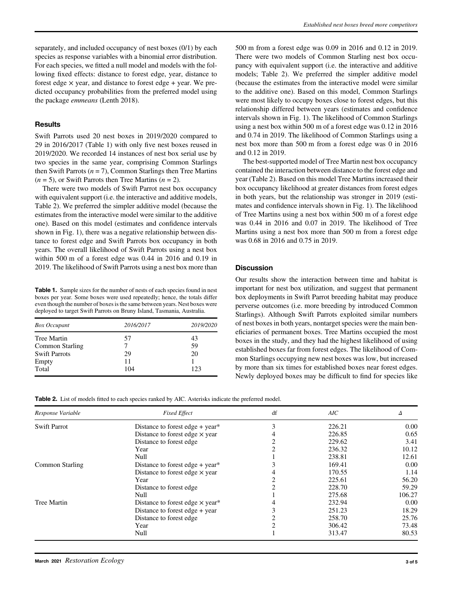separately, and included occupancy of nest boxes (0/1) by each species as response variables with a binomial error distribution. For each species, we fitted a null model and models with the following fixed effects: distance to forest edge, year, distance to forest edge  $\times$  year, and distance to forest edge  $+$  year. We predicted occupancy probabilities from the preferred model using the package emmeans (Lenth 2018).

#### **Results**

Swift Parrots used 20 nest boxes in 2019/2020 compared to 29 in 2016/2017 (Table 1) with only five nest boxes reused in 2019/2020. We recorded 14 instances of nest box serial use by two species in the same year, comprising Common Starlings then Swift Parrots  $(n = 7)$ , Common Starlings then Tree Martins  $(n = 5)$ , or Swift Parrots then Tree Martins  $(n = 2)$ .

There were two models of Swift Parrot nest box occupancy with equivalent support (i.e. the interactive and additive models, Table 2). We preferred the simpler additive model (because the estimates from the interactive model were similar to the additive one). Based on this model (estimates and confidence intervals shown in Fig. 1), there was a negative relationship between distance to forest edge and Swift Parrots box occupancy in both years. The overall likelihood of Swift Parrots using a nest box within 500 m of a forest edge was 0.44 in 2016 and 0.19 in 2019. The likelihood of Swift Parrots using a nest box more than

Table 1. Sample sizes for the number of nests of each species found in nest boxes per year. Some boxes were used repeatedly; hence, the totals differ even though the number of boxes is the same between years. Nest boxes were deployed to target Swift Parrots on Bruny Island, Tasmania, Australia.

| <b>Box Occupant</b>  | 2016/2017 | 2019/2020 |
|----------------------|-----------|-----------|
| Tree Martin          | 57        | 43        |
| Common Starling      |           | 59        |
| <b>Swift Parrots</b> | 29        | 20        |
| Empty                | 11        |           |
| Total                | 104       | 123       |

500 m from a forest edge was 0.09 in 2016 and 0.12 in 2019. There were two models of Common Starling nest box occupancy with equivalent support (i.e. the interactive and additive models; Table 2). We preferred the simpler additive model (because the estimates from the interactive model were similar to the additive one). Based on this model, Common Starlings were most likely to occupy boxes close to forest edges, but this relationship differed between years (estimates and confidence intervals shown in Fig. 1). The likelihood of Common Starlings using a nest box within 500 m of a forest edge was 0.12 in 2016 and 0.74 in 2019. The likelihood of Common Starlings using a nest box more than 500 m from a forest edge was 0 in 2016 and 0.12 in 2019.

The best-supported model of Tree Martin nest box occupancy contained the interaction between distance to the forest edge and year (Table 2). Based on this model Tree Martins increased their box occupancy likelihood at greater distances from forest edges in both years, but the relationship was stronger in 2019 (estimates and confidence intervals shown in Fig. 1). The likelihood of Tree Martins using a nest box within 500 m of a forest edge was 0.44 in 2016 and 0.07 in 2019. The likelihood of Tree Martins using a nest box more than 500 m from a forest edge was 0.68 in 2016 and 0.75 in 2019.

#### **Discussion**

Our results show the interaction between time and habitat is important for nest box utilization, and suggest that permanent box deployments in Swift Parrot breeding habitat may produce perverse outcomes (i.e. more breeding by introduced Common Starlings). Although Swift Parrots exploited similar numbers of nest boxes in both years, nontarget species were the main beneficiaries of permanent boxes. Tree Martins occupied the most boxes in the study, and they had the highest likelihood of using established boxes far from forest edges. The likelihood of Common Starlings occupying new nest boxes was low, but increased by more than six times for established boxes near forest edges. Newly deployed boxes may be difficult to find for species like

Table 2. List of models fitted to each species ranked by AIC. Asterisks indicate the preferred model.

| Response Variable   | <b>Fixed Effect</b>                           | df | AIC    | Λ      |
|---------------------|-----------------------------------------------|----|--------|--------|
| <b>Swift Parrot</b> | Distance to forest edge $+$ year <sup>*</sup> |    | 226.21 | 0.00   |
|                     | Distance to forest edge $\times$ year         |    | 226.85 | 0.65   |
|                     | Distance to forest edge                       |    | 229.62 | 3.41   |
|                     | Year                                          |    | 236.32 | 10.12  |
|                     | Null                                          |    | 238.81 | 12.61  |
| Common Starling     | Distance to forest edge $+$ year*             |    | 169.41 | 0.00   |
|                     | Distance to forest edge $\times$ year         |    | 170.55 | 1.14   |
|                     | Year                                          |    | 225.61 | 56.20  |
|                     | Distance to forest edge                       |    | 228.70 | 59.29  |
|                     | Null                                          |    | 275.68 | 106.27 |
| <b>Tree Martin</b>  | Distance to forest edge $\times$ year*        |    | 232.94 | 0.00   |
|                     | Distance to forest edge $+$ year              |    | 251.23 | 18.29  |
|                     | Distance to forest edge                       |    | 258.70 | 25.76  |
|                     | Year                                          |    | 306.42 | 73.48  |
|                     | Null                                          |    | 313.47 | 80.53  |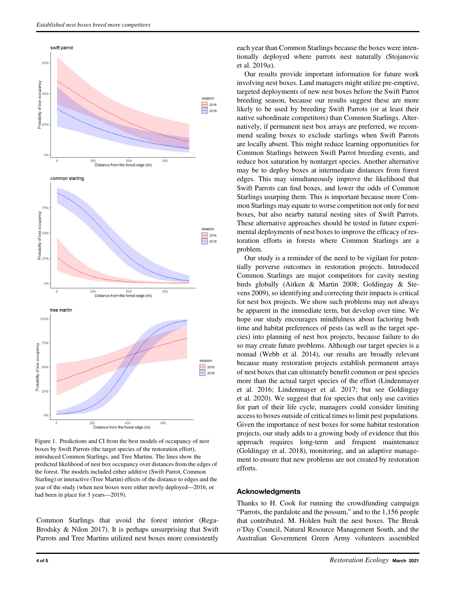

Figure 1. Predictions and CI from the best models of occupancy of nest boxes by Swift Parrots (the target species of the restoration effort), introduced Common Starlings, and Tree Martins. The lines show the predicted likelihood of nest box occupancy over distances from the edges of the forest. The models included either additive (Swift Parrot, Common Starling) or interactive (Tree Martin) effects of the distance to edges and the year of the study (when nest boxes were either newly deployed—2016, or had been in place for 3 years—2019).

Common Starlings that avoid the forest interior (Rega-Brodsky & Nilon 2017). It is perhaps unsurprising that Swift Parrots and Tree Martins utilized nest boxes more consistently

each year than Common Starlings because the boxes were intentionally deployed where parrots nest naturally (Stojanovic et al. 2019a).

Our results provide important information for future work involving nest boxes. Land managers might utilize pre-emptive, targeted deployments of new nest boxes before the Swift Parrot breeding season, because our results suggest these are more likely to be used by breeding Swift Parrots (or at least their native subordinate competitors) than Common Starlings. Alternatively, if permanent nest box arrays are preferred, we recommend sealing boxes to exclude starlings when Swift Parrots are locally absent. This might reduce learning opportunities for Common Starlings between Swift Parrot breeding events, and reduce box saturation by nontarget species. Another alternative may be to deploy boxes at intermediate distances from forest edges. This may simultaneously improve the likelihood that Swift Parrots can find boxes, and lower the odds of Common Starlings usurping them. This is important because more Common Starlings may equate to worse competition not only for nest boxes, but also nearby natural nesting sites of Swift Parrots. These alternative approaches should be tested in future experimental deployments of nest boxes to improve the efficacy of restoration efforts in forests where Common Starlings are a problem.

Our study is a reminder of the need to be vigilant for potentially perverse outcomes in restoration projects. Introduced Common Starlings are major competitors for cavity nesting birds globally (Aitken & Martin 2008; Goldingay & Stevens 2009), so identifying and correcting their impacts is critical for nest box projects. We show such problems may not always be apparent in the immediate term, but develop over time. We hope our study encourages mindfulness about factoring both time and habitat preferences of pests (as well as the target species) into planning of nest box projects, because failure to do so may create future problems. Although our target species is a nomad (Webb et al. 2014), our results are broadly relevant because many restoration projects establish permanent arrays of nest boxes that can ultimately benefit common or pest species more than the actual target species of the effort (Lindenmayer et al. 2016; Lindenmayer et al. 2017; but see Goldingay et al. 2020). We suggest that for species that only use cavities for part of their life cycle, managers could consider limiting access to boxes outside of critical times to limit pest populations. Given the importance of nest boxes for some habitat restoration projects, our study adds to a growing body of evidence that this approach requires long-term and frequent maintenance (Goldingay et al. 2018), monitoring, and an adaptive management to ensure that new problems are not created by restoration efforts.

# Acknowledgments

Thanks to H. Cook for running the crowdfunding campaign "Parrots, the pardalote and the possum," and to the 1,156 people that contributed. M. Holden built the nest boxes. The Break o'Day Council, Natural Resource Management South, and the Australian Government Green Army volunteers assembled